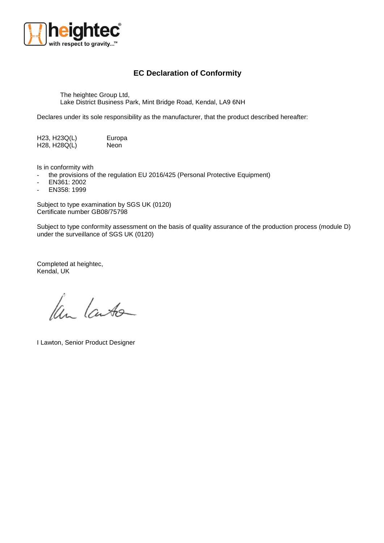

## **EC Declaration of Conformity**

The heightec Group Ltd, Lake District Business Park, Mint Bridge Road, Kendal, LA9 6NH

Declares under its sole responsibility as the manufacturer, that the product described hereafter:

H23, H23Q(L) Europa<br>H28, H28Q(L) Neon H<sub>28</sub>, H<sub>28</sub>Q(L)

Is in conformity with

- the provisions of the regulation EU 2016/425 (Personal Protective Equipment)
- EN361: 2002
- EN358: 1999

Subject to type examination by SGS UK (0120) Certificate number GB08/75798

Subject to type conformity assessment on the basis of quality assurance of the production process (module D) under the surveillance of SGS UK (0120)

Completed at heightec, Kendal, UK

Ken Lauto

I Lawton, Senior Product Designer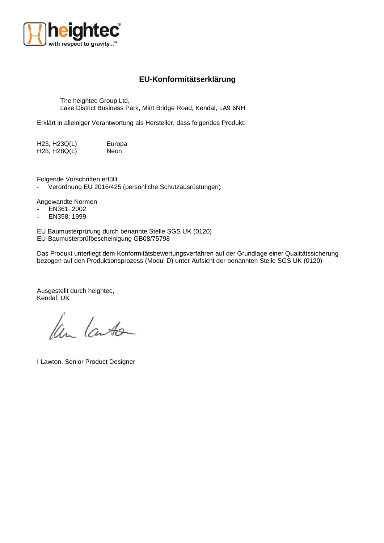

## **EU-Konformitätserklärung**

The heightec Group Ltd, Lake District Business Park, Mint Bridge Road, Kendal, LA9 6NH

Erklärt in alleiniger Verantwortung als Hersteller, dass folgendes Produkt:

H23, H23Q(L) Europa H28, H28Q(L) Neon

Folgende Vorschriften erfüllt

- Verordnung EU 2016/425 (persönliche Schutzausrüstungen)

Angewandte Normen

- EN361: 2002
- EN358: 1999

EU Baumusterprüfung durch benannte Stelle SGS UK (0120) EU-Baumusterprüfbescheinigung GB08/75798

Das Produkt unterliegt dem Konformitätsbewertungsverfahren auf der Grundlage einer Qualitätssicherung bezogen auf den Produktionsprozess (Modul D) unter Aufsicht der benannten Stelle SGS UK (0120)

Ausgestellt durch heightec, Kendal, UK

len lanto

I Lawton, Senior Product Designer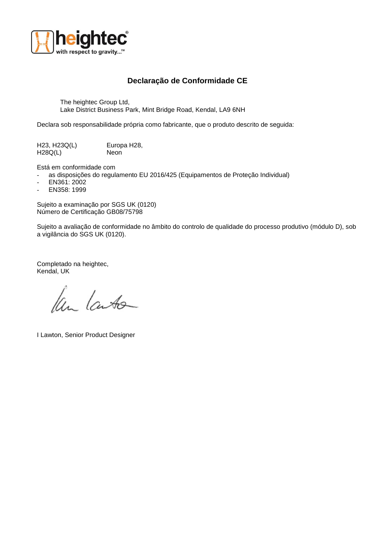

## **Declaração de Conformidade CE**

The heightec Group Ltd, Lake District Business Park, Mint Bridge Road, Kendal, LA9 6NH

Declara sob responsabilidade própria como fabricante, que o produto descrito de seguida:

H23, H23Q(L) Europa H28, H<sub>28</sub>Q(L) Neon

Está em conformidade com

- as disposições do regulamento EU 2016/425 (Equipamentos de Proteção Individual)
- EN361: 2002
- EN358: 1999

Sujeito a examinação por SGS UK (0120) Número de Certificação GB08/75798

Sujeito a avaliação de conformidade no âmbito do controlo de qualidade do processo produtivo (módulo D), sob a vigilância do SGS UK (0120).

Completado na heightec, Kendal, UK

Ken Lauto

I Lawton, Senior Product Designer